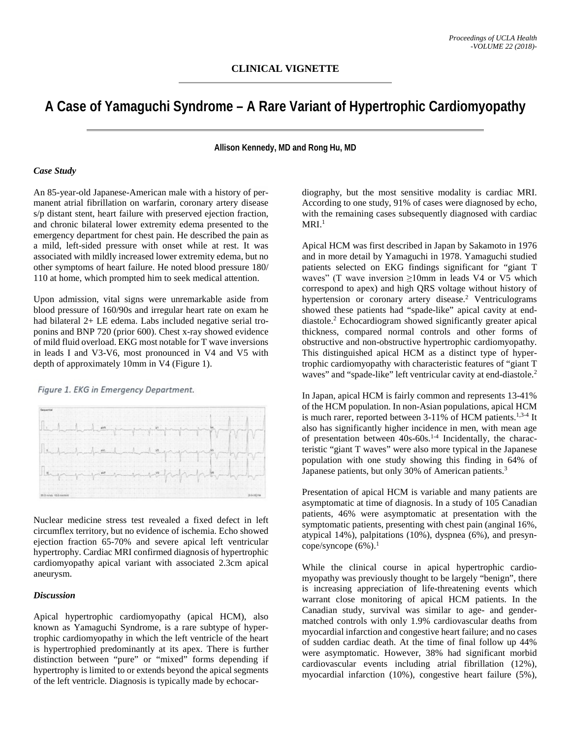## **A Case of Yamaguchi Syndrome – A Rare Variant of Hypertrophic Cardiomyopathy**

**Allison Kennedy, MD and Rong Hu, MD**

## *Case Study*

An 85-year-old Japanese-American male with a history of permanent atrial fibrillation on warfarin, coronary artery disease s/p distant stent, heart failure with preserved ejection fraction, and chronic bilateral lower extremity edema presented to the emergency department for chest pain. He described the pain as a mild, left-sided pressure with onset while at rest. It was associated with mildly increased lower extremity edema, but no other symptoms of heart failure. He noted blood pressure 180/ 110 at home, which prompted him to seek medical attention.

Upon admission, vital signs were unremarkable aside from blood pressure of 160/90s and irregular heart rate on exam he had bilateral 2+ LE edema. Labs included negative serial troponins and BNP 720 (prior 600). Chest x-ray showed evidence of mild fluid overload. EKG most notable for T wave inversions in leads I and V3-V6, most pronounced in V4 and V5 with depth of approximately 10mm in V4 (Figure 1).

Figure 1. EKG in Emergency Department.



Nuclear medicine stress test revealed a fixed defect in left circumflex territory, but no evidence of ischemia. Echo showed ejection fraction 65-70% and severe apical left ventricular hypertrophy. Cardiac MRI confirmed diagnosis of hypertrophic cardiomyopathy apical variant with associated 2.3cm apical aneurysm.

## *Discussion*

Apical hypertrophic cardiomyopathy (apical HCM), also known as Yamaguchi Syndrome, is a rare subtype of hypertrophic cardiomyopathy in which the left ventricle of the heart is hypertrophied predominantly at its apex. There is further distinction between "pure" or "mixed" forms depending if hypertrophy is limited to or extends beyond the apical segments of the left ventricle. Diagnosis is typically made by echocardiography, but the most sensitive modality is cardiac MRI. According to one study, 91% of cases were diagnosed by echo, with the remaining cases subsequently diagnosed with cardiac  $MRI<sup>1</sup>$ 

Apical HCM was first described in Japan by Sakamoto in 1976 and in more detail by Yamaguchi in 1978. Yamaguchi studied patients selected on EKG findings significant for "giant T waves" (T wave inversion  $\geq 10$ mm in leads V4 or V5 which correspond to apex) and high QRS voltage without history of hypertension or coronary artery disease.<sup>2</sup> Ventriculograms showed these patients had "spade-like" apical cavity at enddiastole.2 Echocardiogram showed significantly greater apical thickness, compared normal controls and other forms of obstructive and non-obstructive hypertrophic cardiomyopathy. This distinguished apical HCM as a distinct type of hypertrophic cardiomyopathy with characteristic features of "giant T waves" and "spade-like" left ventricular cavity at end-diastole.<sup>2</sup>

In Japan, apical HCM is fairly common and represents 13-41% of the HCM population. In non-Asian populations, apical HCM is much rarer, reported between  $3-11\%$  of HCM patients.<sup>1,3-4</sup> It also has significantly higher incidence in men, with mean age of presentation between 40s-60s.1-4 Incidentally, the characteristic "giant T waves" were also more typical in the Japanese population with one study showing this finding in 64% of Japanese patients, but only 30% of American patients.<sup>3</sup>

Presentation of apical HCM is variable and many patients are asymptomatic at time of diagnosis. In a study of 105 Canadian patients, 46% were asymptomatic at presentation with the symptomatic patients, presenting with chest pain (anginal 16%, atypical 14%), palpitations (10%), dyspnea (6%), and presyncope/syncope  $(6\%)$ <sup>1</sup>

While the clinical course in apical hypertrophic cardiomyopathy was previously thought to be largely "benign", there is increasing appreciation of life-threatening events which warrant close monitoring of apical HCM patients. In the Canadian study, survival was similar to age- and gendermatched controls with only 1.9% cardiovascular deaths from myocardial infarction and congestive heart failure; and no cases of sudden cardiac death. At the time of final follow up 44% were asymptomatic. However, 38% had significant morbid cardiovascular events including atrial fibrillation (12%), myocardial infarction (10%), congestive heart failure (5%),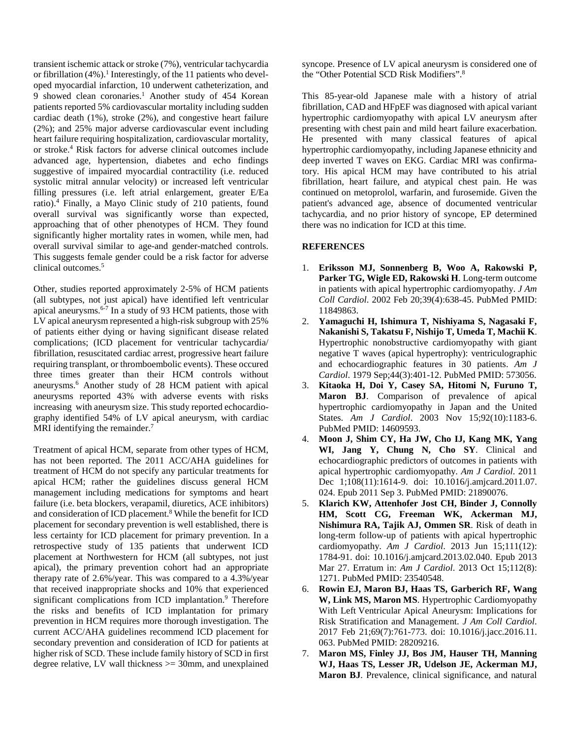transient ischemic attack or stroke (7%), ventricular tachycardia or fibrillation  $(4\%)$ .<sup>1</sup> Interestingly, of the 11 patients who developed myocardial infarction, 10 underwent catheterization, and 9 showed clean coronaries.<sup>1</sup> Another study of 454 Korean patients reported 5% cardiovascular mortality including sudden cardiac death (1%), stroke (2%), and congestive heart failure (2%); and 25% major adverse cardiovascular event including heart failure requiring hospitalization, cardiovascular mortality, or stroke.4 Risk factors for adverse clinical outcomes include advanced age, hypertension, diabetes and echo findings suggestive of impaired myocardial contractility (i.e. reduced systolic mitral annular velocity) or increased left ventricular filling pressures (i.e. left atrial enlargement, greater E/Ea ratio).4 Finally, a Mayo Clinic study of 210 patients, found overall survival was significantly worse than expected, approaching that of other phenotypes of HCM. They found significantly higher mortality rates in women, while men, had overall survival similar to age-and gender-matched controls. This suggests female gender could be a risk factor for adverse clinical outcomes.5

Other, studies reported approximately 2-5% of HCM patients (all subtypes, not just apical) have identified left ventricular apical aneurysms.<sup>6-7</sup> In a study of 93 HCM patients, those with LV apical aneurysm represented a high-risk subgroup with 25% of patients either dying or having significant disease related complications; (ICD placement for ventricular tachycardia/ fibrillation, resuscitated cardiac arrest, progressive heart failure requiring transplant, or thromboembolic events). These occured three times greater than their HCM controls without aneurysms.6 Another study of 28 HCM patient with apical aneurysms reported 43% with adverse events with risks increasing with aneurysm size. This study reported echocardiography identified 54% of LV apical aneurysm, with cardiac MRI identifying the remainder. $<sup>7</sup>$ </sup>

Treatment of apical HCM, separate from other types of HCM, has not been reported. The 2011 ACC/AHA guidelines for treatment of HCM do not specify any particular treatments for apical HCM; rather the guidelines discuss general HCM management including medications for symptoms and heart failure (i.e. beta blockers, verapamil, diuretics, ACE inhibitors) and consideration of ICD placement.8 While the benefit for ICD placement for secondary prevention is well established, there is less certainty for ICD placement for primary prevention. In a retrospective study of 135 patients that underwent ICD placement at Northwestern for HCM (all subtypes, not just apical), the primary prevention cohort had an appropriate therapy rate of 2.6%/year. This was compared to a 4.3%/year that received inappropriate shocks and 10% that experienced significant complications from ICD implantation.<sup>9</sup> Therefore the risks and benefits of ICD implantation for primary prevention in HCM requires more thorough investigation. The current ACC/AHA guidelines recommend ICD placement for secondary prevention and consideration of ICD for patients at higher risk of SCD. These include family history of SCD in first degree relative, LV wall thickness  $\geq$  30mm, and unexplained

syncope. Presence of LV apical aneurysm is considered one of the "Other Potential SCD Risk Modifiers".8

This 85-year-old Japanese male with a history of atrial fibrillation, CAD and HFpEF was diagnosed with apical variant hypertrophic cardiomyopathy with apical LV aneurysm after presenting with chest pain and mild heart failure exacerbation. He presented with many classical features of apical hypertrophic cardiomyopathy, including Japanese ethnicity and deep inverted T waves on EKG. Cardiac MRI was confirmatory. His apical HCM may have contributed to his atrial fibrillation, heart failure, and atypical chest pain. He was continued on metoprolol, warfarin, and furosemide. Given the patient's advanced age, absence of documented ventricular tachycardia, and no prior history of syncope, EP determined there was no indication for ICD at this time.

## **REFERENCES**

- 1. **Eriksson MJ, Sonnenberg B, Woo A, Rakowski P, Parker TG, Wigle ED, Rakowski H**. Long-term outcome in patients with apical hypertrophic cardiomyopathy. *J Am Coll Cardiol*. 2002 Feb 20;39(4):638-45. PubMed PMID: 11849863.
- 2. **Yamaguchi H, Ishimura T, Nishiyama S, Nagasaki F, Nakanishi S, Takatsu F, Nishijo T, Umeda T, Machii K**. Hypertrophic nonobstructive cardiomyopathy with giant negative T waves (apical hypertrophy): ventriculographic and echocardiographic features in 30 patients. *Am J Cardiol*. 1979 Sep;44(3):401-12. PubMed PMID: 573056.
- 3. **Kitaoka H, Doi Y, Casey SA, Hitomi N, Furuno T, Maron BJ**. Comparison of prevalence of apical hypertrophic cardiomyopathy in Japan and the United States. *Am J Cardiol*. 2003 Nov 15;92(10):1183-6. PubMed PMID: 14609593.
- 4. **Moon J, Shim CY, Ha JW, Cho IJ, Kang MK, Yang WI, Jang Y, Chung N, Cho SY**. Clinical and echocardiographic predictors of outcomes in patients with apical hypertrophic cardiomyopathy. *Am J Cardiol*. 2011 Dec 1;108(11):1614-9. doi: 10.1016/j.amjcard.2011.07. 024. Epub 2011 Sep 3. PubMed PMID: 21890076.
- 5. **Klarich KW, Attenhofer Jost CH, Binder J, Connolly HM, Scott CG, Freeman WK, Ackerman MJ, Nishimura RA, Tajik AJ, Ommen SR**. Risk of death in long-term follow-up of patients with apical hypertrophic cardiomyopathy. *Am J Cardiol*. 2013 Jun 15;111(12): 1784-91. doi: 10.1016/j.amjcard.2013.02.040. Epub 2013 Mar 27. Erratum in: *Am J Cardiol*. 2013 Oct 15;112(8): 1271. PubMed PMID: 23540548.
- 6. **Rowin EJ, Maron BJ, Haas TS, Garberich RF, Wang W, Link MS, Maron MS**. Hypertrophic Cardiomyopathy With Left Ventricular Apical Aneurysm: Implications for Risk Stratification and Management. *J Am Coll Cardiol*. 2017 Feb 21;69(7):761-773. doi: 10.1016/j.jacc.2016.11. 063. PubMed PMID: 28209216.
- 7. **Maron MS, Finley JJ, Bos JM, Hauser TH, Manning WJ, Haas TS, Lesser JR, Udelson JE, Ackerman MJ, Maron BJ**. Prevalence, clinical significance, and natural